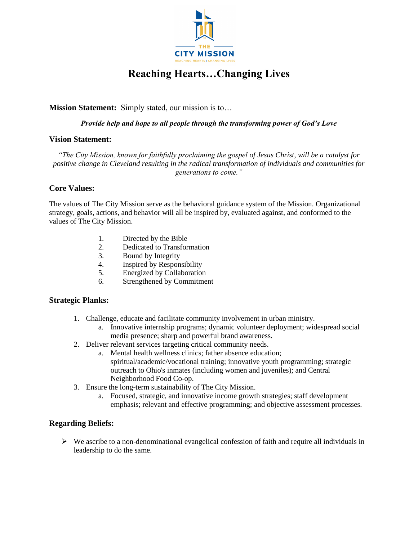

# **Reaching Hearts…Changing Lives**

## **Mission Statement:** Simply stated, our mission is to…

#### *Provide help and hope to all people through the transforming power of God's Love*

#### **Vision Statement:**

*"The City Mission, known for faithfully proclaiming the gospel of Jesus Christ, will be a catalyst for positive change in Cleveland resulting in the radical transformation of individuals and communities for generations to come."*

#### **Core Values:**

The values of The City Mission serve as the behavioral guidance system of the Mission. Organizational strategy, goals, actions, and behavior will all be inspired by, evaluated against, and conformed to the values of The City Mission.

- 1. Directed by the Bible
- 2. Dedicated to Transformation
- 3. Bound by Integrity
- 4. Inspired by Responsibility
- 5. Energized by Collaboration
- 6. Strengthened by Commitment

## **Strategic Planks:**

- 1. Challenge, educate and facilitate community involvement in urban ministry.
	- a. Innovative internship programs; dynamic volunteer deployment; widespread social media presence; sharp and powerful brand awareness.
- 2. Deliver relevant services targeting critical community needs.
	- a. Mental health wellness clinics; father absence education; spiritual/academic/vocational training; innovative youth programming; strategic outreach to Ohio's inmates (including women and juveniles); and Central Neighborhood Food Co-op.
- 3. Ensure the long-term sustainability of The City Mission.
	- a. Focused, strategic, and innovative income growth strategies; staff development emphasis; relevant and effective programming; and objective assessment processes.

## **Regarding Beliefs:**

 $\triangleright$  We ascribe to a non-denominational evangelical confession of faith and require all individuals in leadership to do the same.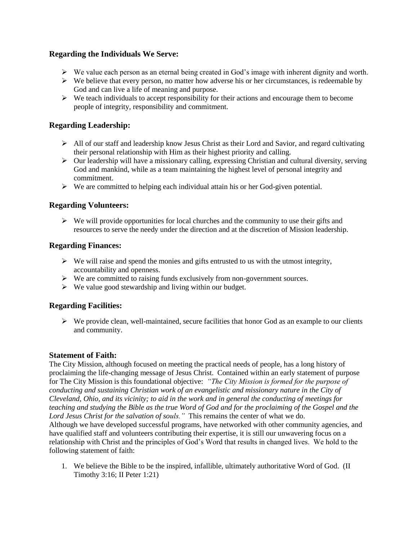## **Regarding the Individuals We Serve:**

- $\triangleright$  We value each person as an eternal being created in God's image with inherent dignity and worth.
- $\triangleright$  We believe that every person, no matter how adverse his or her circumstances, is redeemable by God and can live a life of meaning and purpose.
- $\triangleright$  We teach individuals to accept responsibility for their actions and encourage them to become people of integrity, responsibility and commitment.

## **Regarding Leadership:**

- $\triangleright$  All of our staff and leadership know Jesus Christ as their Lord and Savior, and regard cultivating their personal relationship with Him as their highest priority and calling.
- $\triangleright$  Our leadership will have a missionary calling, expressing Christian and cultural diversity, serving God and mankind, while as a team maintaining the highest level of personal integrity and commitment.
- $\triangleright$  We are committed to helping each individual attain his or her God-given potential.

## **Regarding Volunteers:**

 $\triangleright$  We will provide opportunities for local churches and the community to use their gifts and resources to serve the needy under the direction and at the discretion of Mission leadership.

## **Regarding Finances:**

- $\triangleright$  We will raise and spend the monies and gifts entrusted to us with the utmost integrity, accountability and openness.
- $\triangleright$  We are committed to raising funds exclusively from non-government sources.
- $\triangleright$  We value good stewardship and living within our budget.

## **Regarding Facilities:**

 $\triangleright$  We provide clean, well-maintained, secure facilities that honor God as an example to our clients and community.

## **Statement of Faith:**

The City Mission, although focused on meeting the practical needs of people, has a long history of proclaiming the life-changing message of Jesus Christ. Contained within an early statement of purpose for The City Mission is this foundational objective: *"The City Mission is formed for the purpose of conducting and sustaining Christian work of an evangelistic and missionary nature in the City of Cleveland, Ohio, and its vicinity; to aid in the work and in general the conducting of meetings for teaching and studying the Bible as the true Word of God and for the proclaiming of the Gospel and the Lord Jesus Christ for the salvation of souls."* This remains the center of what we do. Although we have developed successful programs, have networked with other community agencies, and have qualified staff and volunteers contributing their expertise, it is still our unwavering focus on a relationship with Christ and the principles of God's Word that results in changed lives. We hold to the following statement of faith:

1. We believe the Bible to be the inspired, infallible, ultimately authoritative Word of God. (II Timothy 3:16; II Peter 1:21)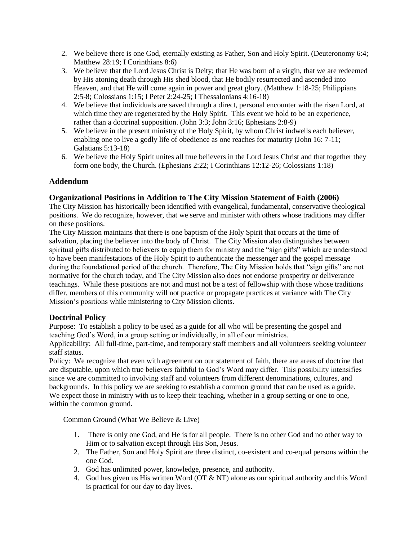- 2. We believe there is one God, eternally existing as Father, Son and Holy Spirit. (Deuteronomy 6:4; Matthew 28:19; I Corinthians 8:6)
- 3. We believe that the Lord Jesus Christ is Deity; that He was born of a virgin, that we are redeemed by His atoning death through His shed blood, that He bodily resurrected and ascended into Heaven, and that He will come again in power and great glory. (Matthew 1:18-25; Philippians 2:5-8; Colossians 1:15; I Peter 2:24-25; I Thessalonians 4:16-18)
- 4. We believe that individuals are saved through a direct, personal encounter with the risen Lord, at which time they are regenerated by the Holy Spirit. This event we hold to be an experience, rather than a doctrinal supposition. (John 3:3; John 3:16; Ephesians 2:8-9)
- 5. We believe in the present ministry of the Holy Spirit, by whom Christ indwells each believer, enabling one to live a godly life of obedience as one reaches for maturity (John 16: 7-11; Galatians 5:13-18)
- 6. We believe the Holy Spirit unites all true believers in the Lord Jesus Christ and that together they form one body, the Church. (Ephesians 2:22; I Corinthians 12:12-26; Colossians 1:18)

# **Addendum**

## **Organizational Positions in Addition to The City Mission Statement of Faith (2006)**

The City Mission has historically been identified with evangelical, fundamental, conservative theological positions. We do recognize, however, that we serve and minister with others whose traditions may differ on these positions.

The City Mission maintains that there is one baptism of the Holy Spirit that occurs at the time of salvation, placing the believer into the body of Christ. The City Mission also distinguishes between spiritual gifts distributed to believers to equip them for ministry and the "sign gifts" which are understood to have been manifestations of the Holy Spirit to authenticate the messenger and the gospel message during the foundational period of the church. Therefore, The City Mission holds that "sign gifts" are not normative for the church today, and The City Mission also does not endorse prosperity or deliverance teachings. While these positions are not and must not be a test of fellowship with those whose traditions differ, members of this community will not practice or propagate practices at variance with The City Mission's positions while ministering to City Mission clients.

# **Doctrinal Policy**

Purpose: To establish a policy to be used as a guide for all who will be presenting the gospel and teaching God's Word, in a group setting or individually, in all of our ministries.

Applicability: All full-time, part-time, and temporary staff members and all volunteers seeking volunteer staff status.

Policy: We recognize that even with agreement on our statement of faith, there are areas of doctrine that are disputable, upon which true believers faithful to God's Word may differ. This possibility intensifies since we are committed to involving staff and volunteers from different denominations, cultures, and backgrounds. In this policy we are seeking to establish a common ground that can be used as a guide. We expect those in ministry with us to keep their teaching, whether in a group setting or one to one, within the common ground.

Common Ground (What We Believe & Live)

- 1. There is only one God, and He is for all people. There is no other God and no other way to Him or to salvation except through His Son, Jesus.
- 2. The Father, Son and Holy Spirit are three distinct, co-existent and co-equal persons within the one God.
- 3. God has unlimited power, knowledge, presence, and authority.
- 4. God has given us His written Word (OT & NT) alone as our spiritual authority and this Word is practical for our day to day lives.